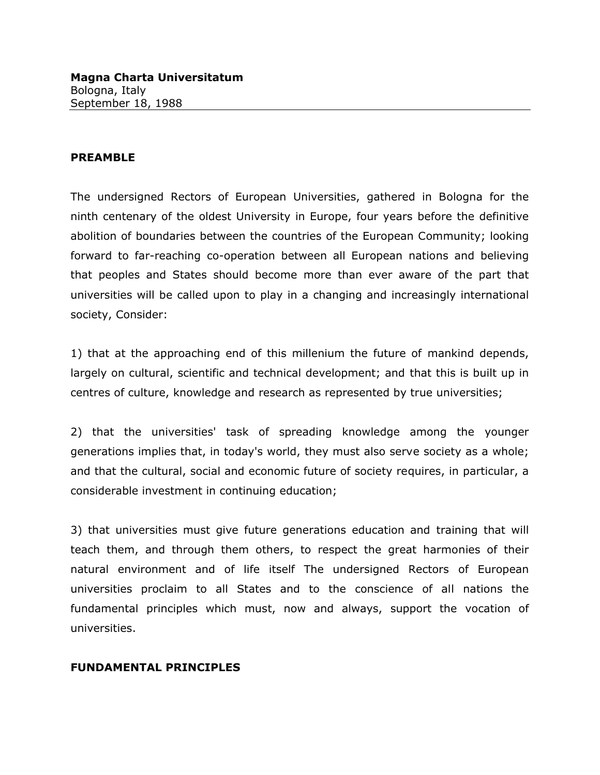## **PREAMBLE**

The undersigned Rectors of European Universities, gathered in Bologna for the ninth centenary of the oldest University in Europe, four years before the definitive abolition of boundaries between the countries of the European Community; looking forward to far-reaching co-operation between all European nations and believing that peoples and States should become more than ever aware of the part that universities will be called upon to play in a changing and increasingly international society, Consider:

1) that at the approaching end of this millenium the future of mankind depends, largely on cultural, scientific and technical development; and that this is built up in centres of culture, knowledge and research as represented by true universities;

2) that the universities' task of spreading knowledge among the younger generations implies that, in today's world, they must also serve society as a whole; and that the cultural, social and economic future of society requires, in particular, a considerable investment in continuing education;

3) that universities must give future generations education and training that will teach them, and through them others, to respect the great harmonies of their natural environment and of life itself The undersigned Rectors of European universities proclaim to all States and to the conscience of all nations the fundamental principles which must, now and always, support the vocation of universities.

## **FUNDAMENTAL PRINCIPLES**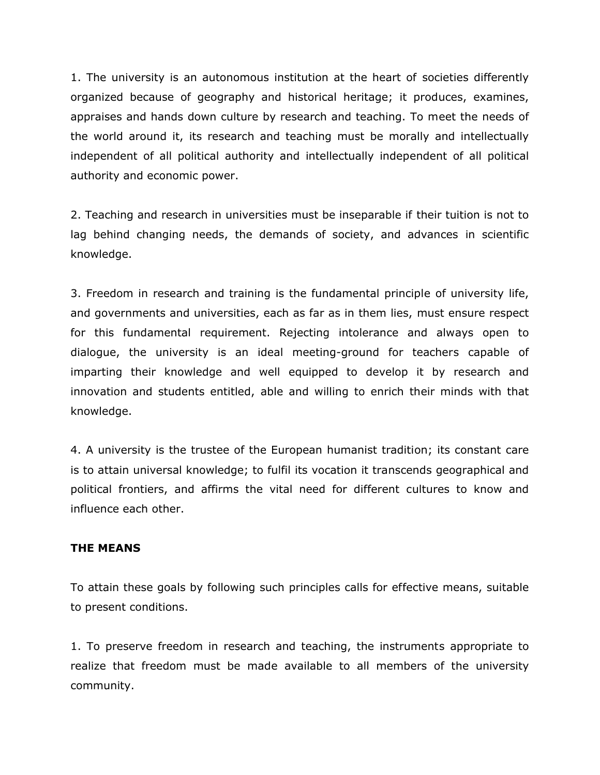1. The university is an autonomous institution at the heart of societies differently organized because of geography and historical heritage; it produces, examines, appraises and hands down culture by research and teaching. To meet the needs of the world around it, its research and teaching must be morally and intellectually independent of all political authority and intellectually independent of all political authority and economic power.

2. Teaching and research in universities must be inseparable if their tuition is not to lag behind changing needs, the demands of society, and advances in scientific knowledge.

3. Freedom in research and training is the fundamental principle of university life, and governments and universities, each as far as in them lies, must ensure respect for this fundamental requirement. Rejecting intolerance and always open to dialogue, the university is an ideal meeting-ground for teachers capable of imparting their knowledge and well equipped to develop it by research and innovation and students entitled, able and willing to enrich their minds with that knowledge.

4. A university is the trustee of the European humanist tradition; its constant care is to attain universal knowledge; to fulfil its vocation it transcends geographical and political frontiers, and affirms the vital need for different cultures to know and influence each other.

## **THE MEANS**

To attain these goals by following such principles calls for effective means, suitable to present conditions.

1. To preserve freedom in research and teaching, the instruments appropriate to realize that freedom must be made available to all members of the university community.